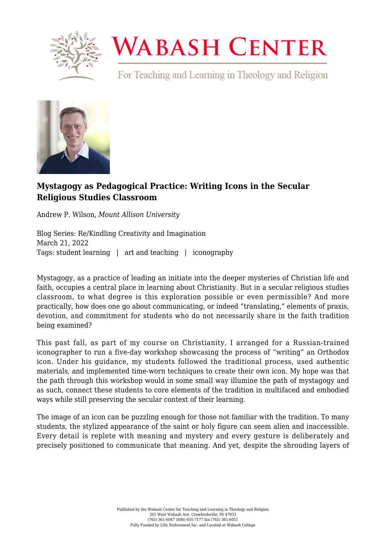

## **WABASH CENTER**

For Teaching and Learning in Theology and Religion



## **[Mystagogy as Pedagogical Practice: Writing Icons in the Secular](https://www.wabashcenter.wabash.edu/2022/03/mystagogy-as-pedagogical-practice-writing-icons-in-the-secular-religious-studies-classroom/) [Religious Studies Classroom](https://www.wabashcenter.wabash.edu/2022/03/mystagogy-as-pedagogical-practice-writing-icons-in-the-secular-religious-studies-classroom/)**

Andrew P. Wilson, *Mount Allison University*

Blog Series: Re/Kindling Creativity and Imagination March 21, 2022 Tags: student learning | art and teaching | iconography

Mystagogy, as a practice of leading an initiate into the deeper mysteries of Christian life and faith, occupies a central place in learning about Christianity. But in a secular religious studies classroom, to what degree is this exploration possible or even permissible? And more practically, how does one go about communicating, or indeed "translating," elements of praxis, devotion, and commitment for students who do not necessarily share in the faith tradition being examined?

This past fall, as part of my course on Christianity, I arranged for a Russian-trained iconographer to run a five-day workshop showcasing the process of "writing" an Orthodox icon. Under his guidance, my students followed the traditional process, used authentic materials, and implemented time-worn techniques to create their own icon. My hope was that the path through this workshop would in some small way illumine the path of mystagogy and as such, connect these students to core elements of the tradition in multifaced and embodied ways while still preserving the secular context of their learning.

The image of an icon can be puzzling enough for those not familiar with the tradition. To many students, the stylized appearance of the saint or holy figure can seem alien and inaccessible. Every detail is replete with meaning and mystery and every gesture is deliberately and precisely positioned to communicate that meaning. And yet, despite the shrouding layers of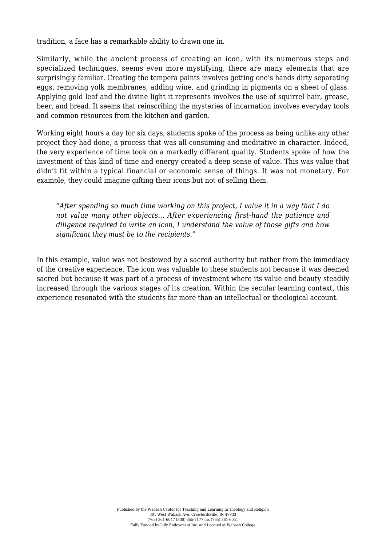tradition, a face has a remarkable ability to drawn one in.

Similarly, while the ancient process of creating an icon, with its numerous steps and specialized techniques, seems even more mystifying, there are many elements that are surprisingly familiar. Creating the tempera paints involves getting one's hands dirty separating eggs, removing yolk membranes, adding wine, and grinding in pigments on a sheet of glass. Applying gold leaf and the divine light it represents involves the use of squirrel hair, grease, beer, and bread. It seems that reinscribing the mysteries of incarnation involves everyday tools and common resources from the kitchen and garden.

Working eight hours a day for six days, students spoke of the process as being unlike any other project they had done, a process that was all-consuming and meditative in character. Indeed, the very experience of time took on a markedly different quality. Students spoke of how the investment of this kind of time and energy created a deep sense of value. This was value that didn't fit within a typical financial or economic sense of things. It was not monetary. For example, they could imagine gifting their icons but not of selling them.

*"After spending so much time working on this project, I value it in a way that I do not value many other objects… After experiencing first-hand the patience and diligence required to write an icon, I understand the value of those gifts and how significant they must be to the recipients."*

In this example, value was not bestowed by a sacred authority but rather from the immediacy of the creative experience. The icon was valuable to these students not because it was deemed sacred but because it was part of a process of investment where its value and beauty steadily increased through the various stages of its creation. Within the secular learning context, this experience resonated with the students far more than an intellectual or theological account.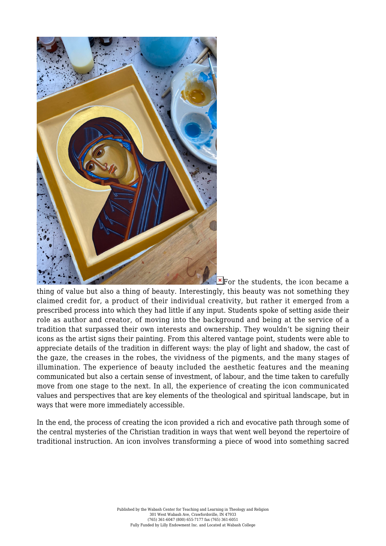

 $\overline{\text{F}}$  $\overline{\text{F}}$  $\overline{\text{F}}$  For the students, the icon became a thing of value but also a thing of beauty. Interestingly, this beauty was not something they claimed credit for, a product of their individual creativity, but rather it emerged from a prescribed process into which they had little if any input. Students spoke of setting aside their role as author and creator, of moving into the background and being at the service of a tradition that surpassed their own interests and ownership. They wouldn't be signing their icons as the artist signs their painting. From this altered vantage point, students were able to appreciate details of the tradition in different ways: the play of light and shadow, the cast of the gaze, the creases in the robes, the vividness of the pigments, and the many stages of illumination. The experience of beauty included the aesthetic features and the meaning communicated but also a certain sense of investment, of labour, and the time taken to carefully move from one stage to the next. In all, the experience of creating the icon communicated values and perspectives that are key elements of the theological and spiritual landscape, but in ways that were more immediately accessible.

In the end, the process of creating the icon provided a rich and evocative path through some of the central mysteries of the Christian tradition in ways that went well beyond the repertoire of traditional instruction. An icon involves transforming a piece of wood into something sacred